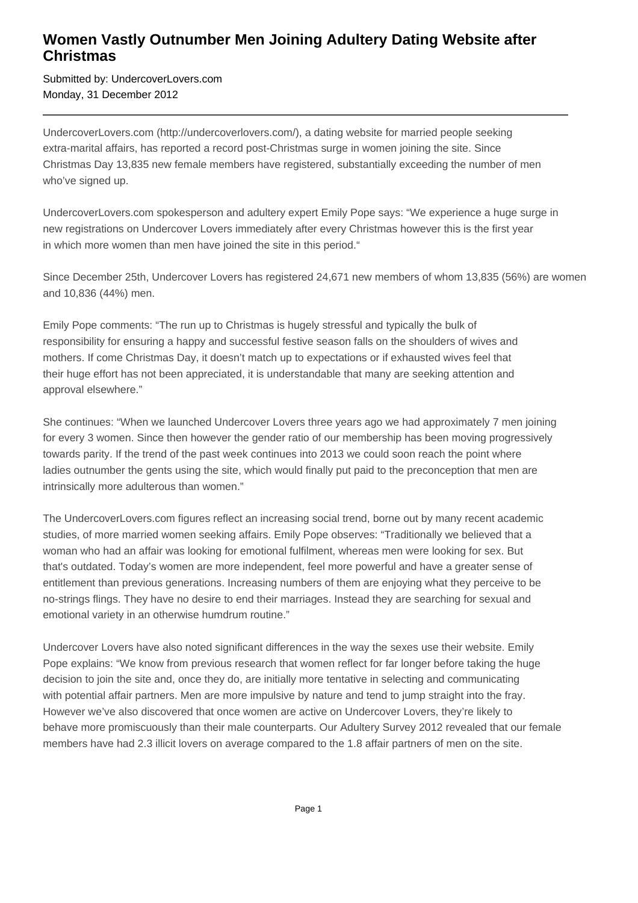## **Women Vastly Outnumber Men Joining Adultery Dating Website after Christmas**

Submitted by: UndercoverLovers.com Monday, 31 December 2012

UndercoverLovers.com (http://undercoverlovers.com/), a dating website for married people seeking extra-marital affairs, has reported a record post-Christmas surge in women joining the site. Since Christmas Day 13,835 new female members have registered, substantially exceeding the number of men who've signed up.

UndercoverLovers.com spokesperson and adultery expert Emily Pope says: "We experience a huge surge in new registrations on Undercover Lovers immediately after every Christmas however this is the first year in which more women than men have joined the site in this period."

Since December 25th, Undercover Lovers has registered 24,671 new members of whom 13,835 (56%) are women and 10,836 (44%) men.

Emily Pope comments: "The run up to Christmas is hugely stressful and typically the bulk of responsibility for ensuring a happy and successful festive season falls on the shoulders of wives and mothers. If come Christmas Day, it doesn't match up to expectations or if exhausted wives feel that their huge effort has not been appreciated, it is understandable that many are seeking attention and approval elsewhere."

She continues: "When we launched Undercover Lovers three years ago we had approximately 7 men joining for every 3 women. Since then however the gender ratio of our membership has been moving progressively towards parity. If the trend of the past week continues into 2013 we could soon reach the point where ladies outnumber the gents using the site, which would finally put paid to the preconception that men are intrinsically more adulterous than women."

The UndercoverLovers.com figures reflect an increasing social trend, borne out by many recent academic studies, of more married women seeking affairs. Emily Pope observes: "Traditionally we believed that a woman who had an affair was looking for emotional fulfilment, whereas men were looking for sex. But that's outdated. Today's women are more independent, feel more powerful and have a greater sense of entitlement than previous generations. Increasing numbers of them are enjoying what they perceive to be no-strings flings. They have no desire to end their marriages. Instead they are searching for sexual and emotional variety in an otherwise humdrum routine."

Undercover Lovers have also noted significant differences in the way the sexes use their website. Emily Pope explains: "We know from previous research that women reflect for far longer before taking the huge decision to join the site and, once they do, are initially more tentative in selecting and communicating with potential affair partners. Men are more impulsive by nature and tend to jump straight into the fray. However we've also discovered that once women are active on Undercover Lovers, they're likely to behave more promiscuously than their male counterparts. Our Adultery Survey 2012 revealed that our female members have had 2.3 illicit lovers on average compared to the 1.8 affair partners of men on the site.